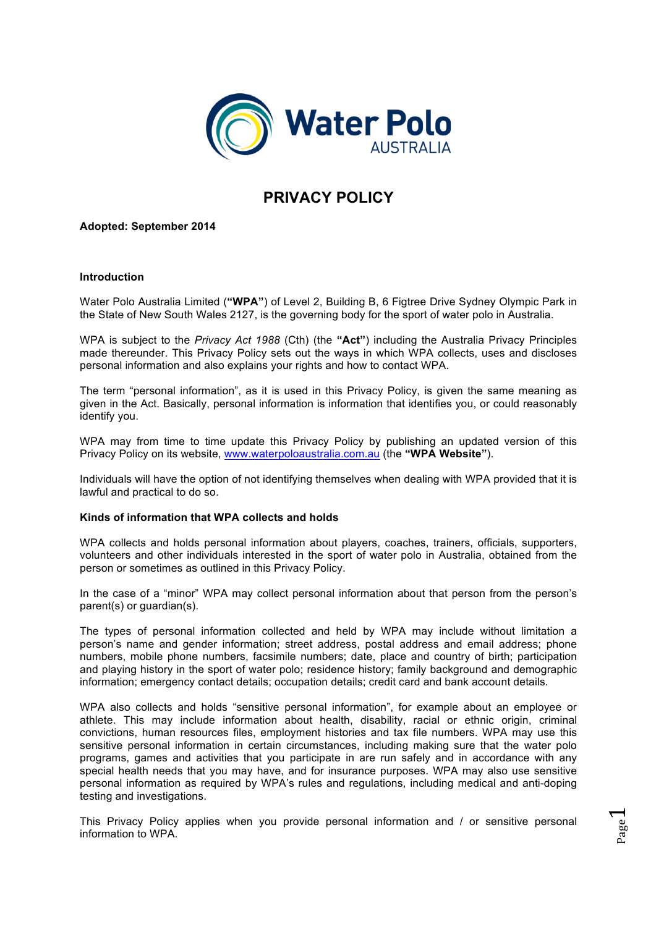

# **PRIVACY POLICY**

**Adopted: September 2014**

### **Introduction**

Water Polo Australia Limited (**"WPA"**) of Level 2, Building B, 6 Figtree Drive Sydney Olympic Park in the State of New South Wales 2127, is the governing body for the sport of water polo in Australia.

WPA is subject to the *Privacy Act 1988* (Cth) (the **"Act"**) including the Australia Privacy Principles made thereunder. This Privacy Policy sets out the ways in which WPA collects, uses and discloses personal information and also explains your rights and how to contact WPA.

The term "personal information", as it is used in this Privacy Policy, is given the same meaning as given in the Act. Basically, personal information is information that identifies you, or could reasonably identify you.

WPA may from time to time update this Privacy Policy by publishing an updated version of this Privacy Policy on its website, www.waterpoloaustralia.com.au (the **"WPA Website"**).

Individuals will have the option of not identifying themselves when dealing with WPA provided that it is lawful and practical to do so.

#### **Kinds of information that WPA collects and holds**

WPA collects and holds personal information about players, coaches, trainers, officials, supporters, volunteers and other individuals interested in the sport of water polo in Australia, obtained from the person or sometimes as outlined in this Privacy Policy.

In the case of a "minor" WPA may collect personal information about that person from the person's parent(s) or guardian(s).

The types of personal information collected and held by WPA may include without limitation a person's name and gender information; street address, postal address and email address; phone numbers, mobile phone numbers, facsimile numbers; date, place and country of birth; participation and playing history in the sport of water polo; residence history; family background and demographic information; emergency contact details; occupation details; credit card and bank account details.

WPA also collects and holds "sensitive personal information", for example about an employee or athlete. This may include information about health, disability, racial or ethnic origin, criminal convictions, human resources files, employment histories and tax file numbers. WPA may use this sensitive personal information in certain circumstances, including making sure that the water polo programs, games and activities that you participate in are run safely and in accordance with any special health needs that you may have, and for insurance purposes. WPA may also use sensitive personal information as required by WPA's rules and regulations, including medical and anti-doping testing and investigations.

This Privacy Policy applies when you provide personal information and / or sensitive personal information to WPA.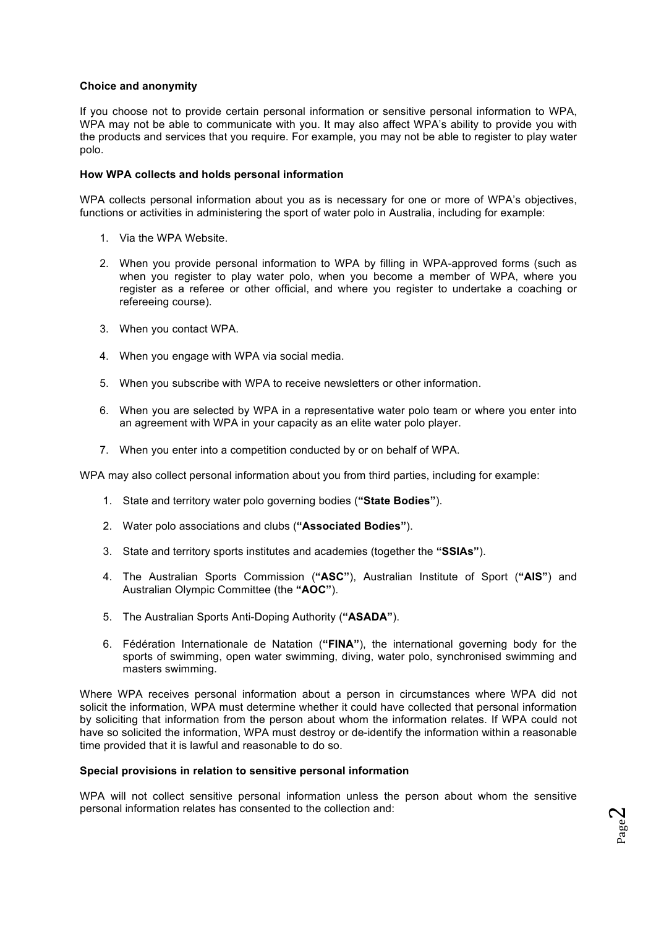## **Choice and anonymity**

If you choose not to provide certain personal information or sensitive personal information to WPA, WPA may not be able to communicate with you. It may also affect WPA's ability to provide you with the products and services that you require. For example, you may not be able to register to play water polo.

## **How WPA collects and holds personal information**

WPA collects personal information about you as is necessary for one or more of WPA's objectives, functions or activities in administering the sport of water polo in Australia, including for example:

- 1. Via the WPA Website.
- 2. When you provide personal information to WPA by filling in WPA-approved forms (such as when you register to play water polo, when you become a member of WPA, where you register as a referee or other official, and where you register to undertake a coaching or refereeing course).
- 3. When you contact WPA.
- 4. When you engage with WPA via social media.
- 5. When you subscribe with WPA to receive newsletters or other information.
- 6. When you are selected by WPA in a representative water polo team or where you enter into an agreement with WPA in your capacity as an elite water polo player.
- 7. When you enter into a competition conducted by or on behalf of WPA.

WPA may also collect personal information about you from third parties, including for example:

- 1. State and territory water polo governing bodies (**"State Bodies"**).
- 2. Water polo associations and clubs (**"Associated Bodies"**).
- 3. State and territory sports institutes and academies (together the **"SSIAs"**).
- 4. The Australian Sports Commission (**"ASC"**), Australian Institute of Sport (**"AIS"**) and Australian Olympic Committee (the **"AOC"**).
- 5. The Australian Sports Anti-Doping Authority (**"ASADA"**).
- 6. Fédération Internationale de Natation (**"FINA"**), the international governing body for the sports of swimming, open water swimming, diving, water polo, synchronised swimming and masters swimming.

Where WPA receives personal information about a person in circumstances where WPA did not solicit the information, WPA must determine whether it could have collected that personal information by soliciting that information from the person about whom the information relates. If WPA could not have so solicited the information, WPA must destroy or de-identify the information within a reasonable time provided that it is lawful and reasonable to do so.

#### **Special provisions in relation to sensitive personal information**

WPA will not collect sensitive personal information unless the person about whom the sensitive personal information relates has consented to the collection and: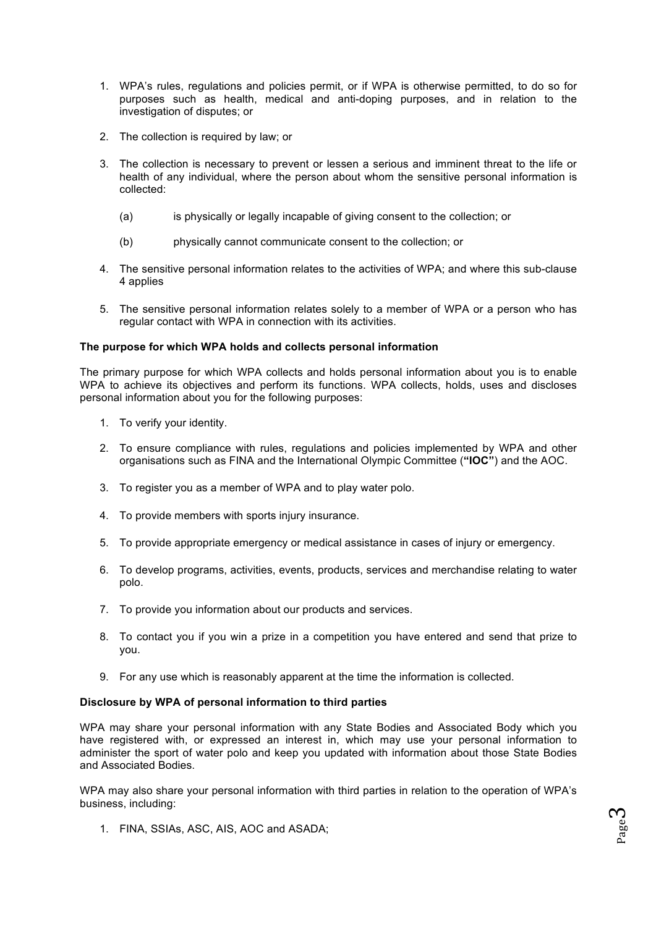- 1. WPA's rules, regulations and policies permit, or if WPA is otherwise permitted, to do so for purposes such as health, medical and anti-doping purposes, and in relation to the investigation of disputes; or
- 2. The collection is required by law; or
- 3. The collection is necessary to prevent or lessen a serious and imminent threat to the life or health of any individual, where the person about whom the sensitive personal information is collected:
	- (a) is physically or legally incapable of giving consent to the collection; or
	- (b) physically cannot communicate consent to the collection; or
- 4. The sensitive personal information relates to the activities of WPA; and where this sub-clause 4 applies
- 5. The sensitive personal information relates solely to a member of WPA or a person who has regular contact with WPA in connection with its activities.

## **The purpose for which WPA holds and collects personal information**

The primary purpose for which WPA collects and holds personal information about you is to enable WPA to achieve its objectives and perform its functions. WPA collects, holds, uses and discloses personal information about you for the following purposes:

- 1. To verify your identity.
- 2. To ensure compliance with rules, regulations and policies implemented by WPA and other organisations such as FINA and the International Olympic Committee (**"IOC"**) and the AOC.
- 3. To register you as a member of WPA and to play water polo.
- 4. To provide members with sports injury insurance.
- 5. To provide appropriate emergency or medical assistance in cases of injury or emergency.
- 6. To develop programs, activities, events, products, services and merchandise relating to water polo.
- 7. To provide you information about our products and services.
- 8. To contact you if you win a prize in a competition you have entered and send that prize to you.
- 9. For any use which is reasonably apparent at the time the information is collected.

#### **Disclosure by WPA of personal information to third parties**

WPA may share your personal information with any State Bodies and Associated Body which you have registered with, or expressed an interest in, which may use your personal information to administer the sport of water polo and keep you updated with information about those State Bodies and Associated Bodies.

WPA may also share your personal information with third parties in relation to the operation of WPA's business, including:

1. FINA, SSIAs, ASC, AIS, AOC and ASADA;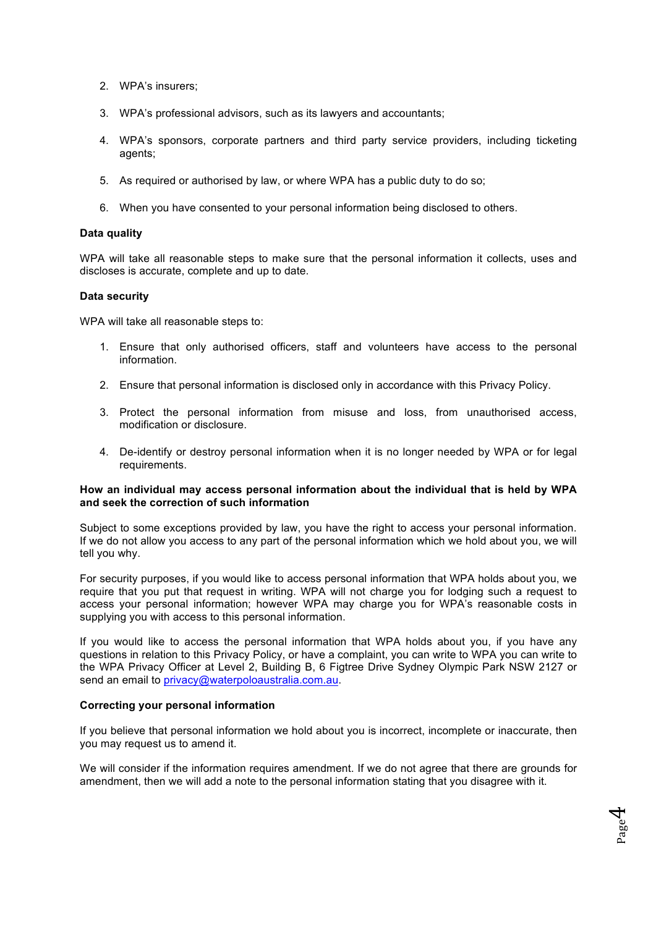- 2. WPA's insurers;
- 3. WPA's professional advisors, such as its lawyers and accountants;
- 4. WPA's sponsors, corporate partners and third party service providers, including ticketing agents;
- 5. As required or authorised by law, or where WPA has a public duty to do so;
- 6. When you have consented to your personal information being disclosed to others.

#### **Data quality**

WPA will take all reasonable steps to make sure that the personal information it collects, uses and discloses is accurate, complete and up to date.

## **Data security**

WPA will take all reasonable steps to:

- 1. Ensure that only authorised officers, staff and volunteers have access to the personal information.
- 2. Ensure that personal information is disclosed only in accordance with this Privacy Policy.
- 3. Protect the personal information from misuse and loss, from unauthorised access, modification or disclosure.
- 4. De-identify or destroy personal information when it is no longer needed by WPA or for legal requirements.

## **How an individual may access personal information about the individual that is held by WPA and seek the correction of such information**

Subject to some exceptions provided by law, you have the right to access your personal information. If we do not allow you access to any part of the personal information which we hold about you, we will tell you why.

For security purposes, if you would like to access personal information that WPA holds about you, we require that you put that request in writing. WPA will not charge you for lodging such a request to access your personal information; however WPA may charge you for WPA's reasonable costs in supplying you with access to this personal information.

If you would like to access the personal information that WPA holds about you, if you have any questions in relation to this Privacy Policy, or have a complaint, you can write to WPA you can write to the WPA Privacy Officer at Level 2, Building B, 6 Figtree Drive Sydney Olympic Park NSW 2127 or send an email to privacy@waterpoloaustralia.com.au.

#### **Correcting your personal information**

If you believe that personal information we hold about you is incorrect, incomplete or inaccurate, then you may request us to amend it.

We will consider if the information requires amendment. If we do not agree that there are grounds for amendment, then we will add a note to the personal information stating that you disagree with it.